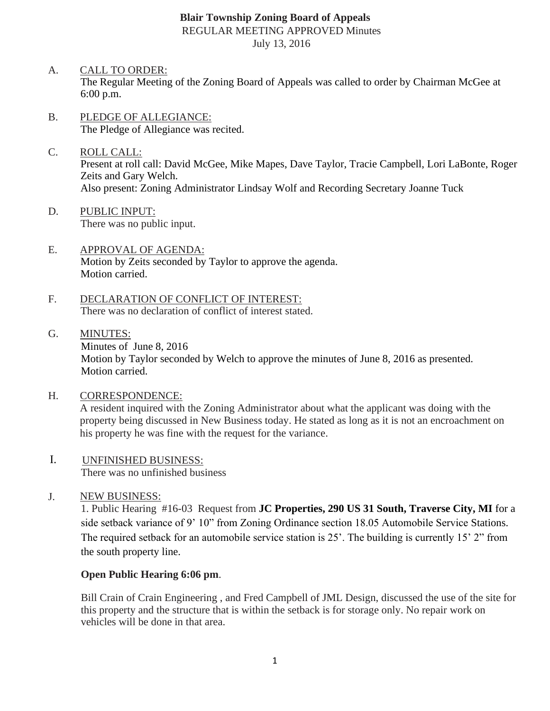## **Blair Township Zoning Board of Appeals** REGULAR MEETING APPROVED Minutes July 13, 2016

- A. CALL TO ORDER: The Regular Meeting of the Zoning Board of Appeals was called to order by Chairman McGee at 6:00 p.m.
- B. PLEDGE OF ALLEGIANCE: The Pledge of Allegiance was recited.
- C. ROLL CALL: Present at roll call: David McGee, Mike Mapes, Dave Taylor, Tracie Campbell, Lori LaBonte, Roger Zeits and Gary Welch. Also present: Zoning Administrator Lindsay Wolf and Recording Secretary Joanne Tuck
- D. PUBLIC INPUT: There was no public input.
- E. APPROVAL OF AGENDA: Motion by Zeits seconded by Taylor to approve the agenda. Motion carried.
- F. DECLARATION OF CONFLICT OF INTEREST: There was no declaration of conflict of interest stated.
- G. MINUTES: Minutes of June 8, 2016 Motion by Taylor seconded by Welch to approve the minutes of June 8, 2016 as presented. Motion carried.
- H. CORRESPONDENCE:

A resident inquired with the Zoning Administrator about what the applicant was doing with the property being discussed in New Business today. He stated as long as it is not an encroachment on his property he was fine with the request for the variance.

- I. UNFINISHED BUSINESS: There was no unfinished business
- J. NEW BUSINESS:

1. Public Hearing #16-03 Request from **JC Properties, 290 US 31 South, Traverse City, MI** for a side setback variance of 9' 10" from Zoning Ordinance section 18.05 Automobile Service Stations. The required setback for an automobile service station is 25'. The building is currently 15' 2" from the south property line.

### **Open Public Hearing 6:06 pm**.

Bill Crain of Crain Engineering , and Fred Campbell of JML Design, discussed the use of the site for this property and the structure that is within the setback is for storage only. No repair work on vehicles will be done in that area.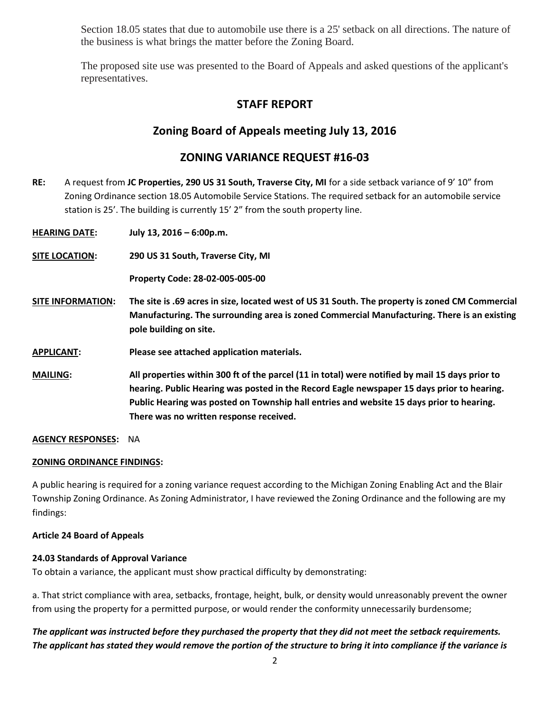Section 18.05 states that due to automobile use there is a 25' setback on all directions. The nature of the business is what brings the matter before the Zoning Board.

The proposed site use was presented to the Board of Appeals and asked questions of the applicant's representatives.

# **STAFF REPORT**

# **Zoning Board of Appeals meeting July 13, 2016**

## **ZONING VARIANCE REQUEST #16-03**

**RE:** A request from **JC Properties, 290 US 31 South, Traverse City, MI** for a side setback variance of 9' 10" from Zoning Ordinance section 18.05 Automobile Service Stations. The required setback for an automobile service station is 25'. The building is currently 15' 2" from the south property line.

**HEARING DATE: July 13, 2016 – 6:00p.m.** 

**SITE LOCATION: 290 US 31 South, Traverse City, MI** 

**Property Code: 28-02-005-005-00**

- **SITE INFORMATION: The site is .69 acres in size, located west of US 31 South. The property is zoned CM Commercial Manufacturing. The surrounding area is zoned Commercial Manufacturing. There is an existing pole building on site.**
- **APPLICANT: Please see attached application materials.**
- **MAILING: All properties within 300 ft of the parcel (11 in total) were notified by mail 15 days prior to hearing. Public Hearing was posted in the Record Eagle newspaper 15 days prior to hearing. Public Hearing was posted on Township hall entries and website 15 days prior to hearing. There was no written response received.**

**AGENCY RESPONSES:** NA

#### **ZONING ORDINANCE FINDINGS:**

A public hearing is required for a zoning variance request according to the Michigan Zoning Enabling Act and the Blair Township Zoning Ordinance. As Zoning Administrator, I have reviewed the Zoning Ordinance and the following are my findings:

#### **Article 24 Board of Appeals**

#### **24.03 Standards of Approval Variance**

To obtain a variance, the applicant must show practical difficulty by demonstrating:

a. That strict compliance with area, setbacks, frontage, height, bulk, or density would unreasonably prevent the owner from using the property for a permitted purpose, or would render the conformity unnecessarily burdensome;

## *The applicant was instructed before they purchased the property that they did not meet the setback requirements. The applicant has stated they would remove the portion of the structure to bring it into compliance if the variance is*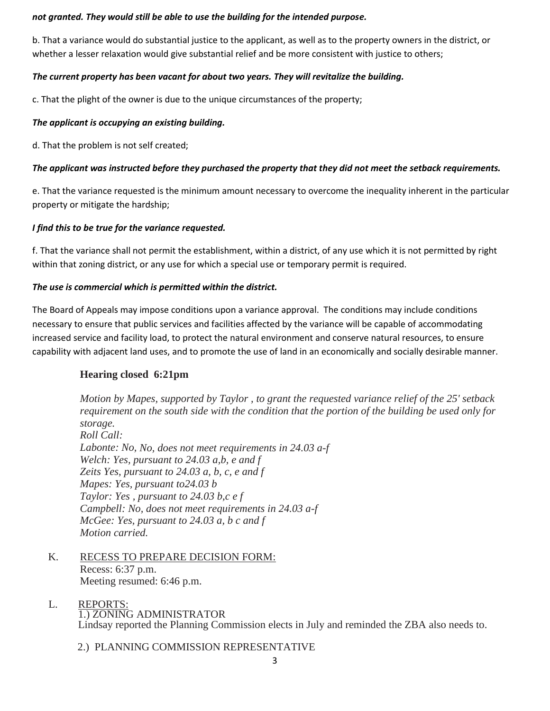#### *not granted. They would still be able to use the building for the intended purpose.*

b. That a variance would do substantial justice to the applicant, as well as to the property owners in the district, or whether a lesser relaxation would give substantial relief and be more consistent with justice to others;

### *The current property has been vacant for about two years. They will revitalize the building.*

c. That the plight of the owner is due to the unique circumstances of the property;

#### *The applicant is occupying an existing building.*

d. That the problem is not self created;

### *The applicant was instructed before they purchased the property that they did not meet the setback requirements.*

e. That the variance requested is the minimum amount necessary to overcome the inequality inherent in the particular property or mitigate the hardship;

#### *I find this to be true for the variance requested.*

f. That the variance shall not permit the establishment, within a district, of any use which it is not permitted by right within that zoning district, or any use for which a special use or temporary permit is required.

#### *The use is commercial which is permitted within the district.*

The Board of Appeals may impose conditions upon a variance approval. The conditions may include conditions necessary to ensure that public services and facilities affected by the variance will be capable of accommodating increased service and facility load, to protect the natural environment and conserve natural resources, to ensure capability with adjacent land uses, and to promote the use of land in an economically and socially desirable manner.

### **Hearing closed 6:21pm**

*Motion by Mapes, supported by Taylor , to grant the requested variance relief of the 25' setback requirement on the south side with the condition that the portion of the building be used only for storage. Roll Call: Labonte: No, No, does not meet requirements in 24.03 a-f Welch: Yes, pursuant to 24.03 a,b, e and f Zeits Yes, pursuant to 24.03 a, b, c, e and f Mapes: Yes, pursuant to24.03 b Taylor: Yes , pursuant to 24.03 b,c e f Campbell: No, does not meet requirements in 24.03 a-f McGee: Yes, pursuant to 24.03 a, b c and f Motion carried.*

- K. RECESS TO PREPARE DECISION FORM: Recess: 6:37 p.m. Meeting resumed: 6:46 p.m.
- L. REPORTS: 1.) ZONING ADMINISTRATOR Lindsay reported the Planning Commission elects in July and reminded the ZBA also needs to.

2.) PLANNING COMMISSION REPRESENTATIVE